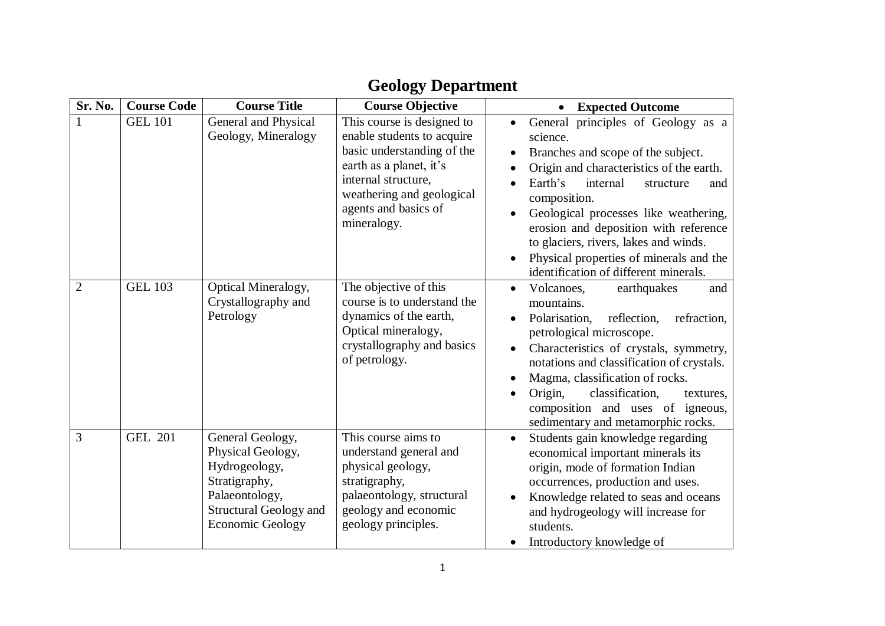|  | <b>Geology Department</b> |
|--|---------------------------|
|--|---------------------------|

| Sr. No.        | <b>Course Code</b> | <b>Course Title</b>                                                                                                                                   | <b>Course Objective</b>                                                                                                                                                                                      | <b>Expected Outcome</b>                                                                                                                                                                                                                                                                                                                                                                                                              |
|----------------|--------------------|-------------------------------------------------------------------------------------------------------------------------------------------------------|--------------------------------------------------------------------------------------------------------------------------------------------------------------------------------------------------------------|--------------------------------------------------------------------------------------------------------------------------------------------------------------------------------------------------------------------------------------------------------------------------------------------------------------------------------------------------------------------------------------------------------------------------------------|
|                | <b>GEL 101</b>     | General and Physical<br>Geology, Mineralogy                                                                                                           | This course is designed to<br>enable students to acquire<br>basic understanding of the<br>earth as a planet, it's<br>internal structure,<br>weathering and geological<br>agents and basics of<br>mineralogy. | General principles of Geology as a<br>science.<br>Branches and scope of the subject.<br>$\bullet$<br>Origin and characteristics of the earth.<br>Earth's<br>internal<br>structure<br>and<br>composition.<br>Geological processes like weathering,<br>erosion and deposition with reference<br>to glaciers, rivers, lakes and winds.<br>Physical properties of minerals and the<br>$\bullet$<br>identification of different minerals. |
| $\overline{2}$ | <b>GEL 103</b>     | Optical Mineralogy,<br>Crystallography and<br>Petrology                                                                                               | The objective of this<br>course is to understand the<br>dynamics of the earth,<br>Optical mineralogy,<br>crystallography and basics<br>of petrology.                                                         | Volcanoes,<br>earthquakes<br>and<br>$\bullet$<br>mountains.<br>Polarisation,<br>reflection,<br>refraction,<br>$\bullet$<br>petrological microscope.<br>Characteristics of crystals, symmetry,<br>$\bullet$<br>notations and classification of crystals.<br>Magma, classification of rocks.<br>$\bullet$<br>Origin,<br>classification.<br>textures.<br>composition and uses of igneous,<br>sedimentary and metamorphic rocks.         |
| 3              | <b>GEL 201</b>     | General Geology,<br>Physical Geology,<br>Hydrogeology,<br>Stratigraphy,<br>Palaeontology,<br><b>Structural Geology and</b><br><b>Economic Geology</b> | This course aims to<br>understand general and<br>physical geology,<br>stratigraphy,<br>palaeontology, structural<br>geology and economic<br>geology principles.                                              | Students gain knowledge regarding<br>$\bullet$<br>economical important minerals its<br>origin, mode of formation Indian<br>occurrences, production and uses.<br>Knowledge related to seas and oceans<br>and hydrogeology will increase for<br>students.<br>Introductory knowledge of                                                                                                                                                 |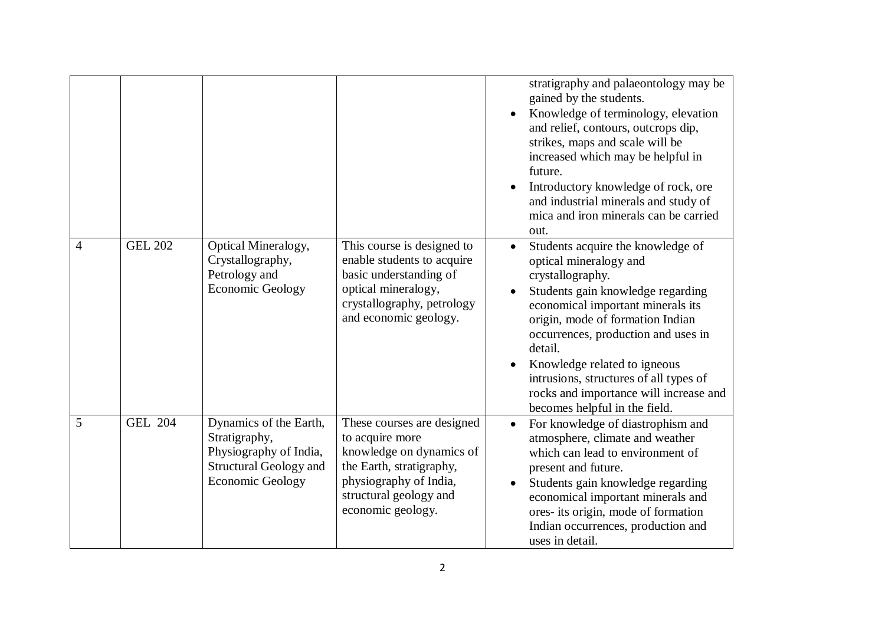|                |                |                                                                                                                               |                                                                                                                                                                                | stratigraphy and palaeontology may be<br>gained by the students.<br>Knowledge of terminology, elevation<br>and relief, contours, outcrops dip,<br>strikes, maps and scale will be<br>increased which may be helpful in<br>future.<br>Introductory knowledge of rock, ore<br>and industrial minerals and study of<br>mica and iron minerals can be carried<br>out.                                                 |
|----------------|----------------|-------------------------------------------------------------------------------------------------------------------------------|--------------------------------------------------------------------------------------------------------------------------------------------------------------------------------|-------------------------------------------------------------------------------------------------------------------------------------------------------------------------------------------------------------------------------------------------------------------------------------------------------------------------------------------------------------------------------------------------------------------|
| $\overline{4}$ | <b>GEL 202</b> | Optical Mineralogy,<br>Crystallography,<br>Petrology and<br><b>Economic Geology</b>                                           | This course is designed to<br>enable students to acquire<br>basic understanding of<br>optical mineralogy,<br>crystallography, petrology<br>and economic geology.               | Students acquire the knowledge of<br>$\bullet$<br>optical mineralogy and<br>crystallography.<br>Students gain knowledge regarding<br>economical important minerals its<br>origin, mode of formation Indian<br>occurrences, production and uses in<br>detail.<br>Knowledge related to igneous<br>intrusions, structures of all types of<br>rocks and importance will increase and<br>becomes helpful in the field. |
| 5              | <b>GEL 204</b> | Dynamics of the Earth,<br>Stratigraphy,<br>Physiography of India,<br><b>Structural Geology and</b><br><b>Economic Geology</b> | These courses are designed<br>to acquire more<br>knowledge on dynamics of<br>the Earth, stratigraphy,<br>physiography of India,<br>structural geology and<br>economic geology. | For knowledge of diastrophism and<br>$\bullet$<br>atmosphere, climate and weather<br>which can lead to environment of<br>present and future.<br>Students gain knowledge regarding<br>economical important minerals and<br>ores- its origin, mode of formation<br>Indian occurrences, production and<br>uses in detail.                                                                                            |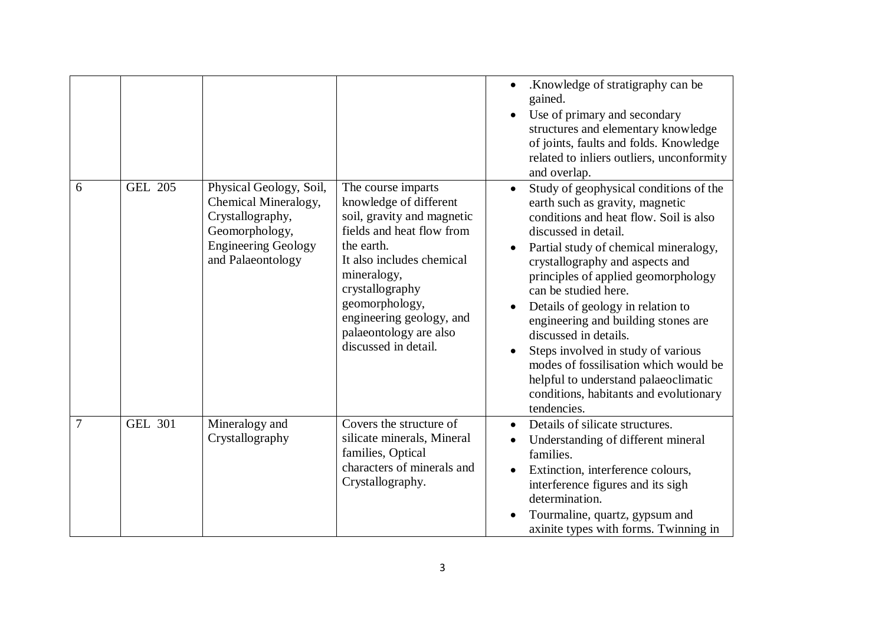|   |                |                                                                                                                                          |                                                                                                                                                                                                                                                                                      | .Knowledge of stratigraphy can be<br>$\bullet$<br>gained.<br>Use of primary and secondary<br>structures and elementary knowledge<br>of joints, faults and folds. Knowledge<br>related to inliers outliers, unconformity<br>and overlap.                                                                                                                                                                                                                                                                                                                                                  |
|---|----------------|------------------------------------------------------------------------------------------------------------------------------------------|--------------------------------------------------------------------------------------------------------------------------------------------------------------------------------------------------------------------------------------------------------------------------------------|------------------------------------------------------------------------------------------------------------------------------------------------------------------------------------------------------------------------------------------------------------------------------------------------------------------------------------------------------------------------------------------------------------------------------------------------------------------------------------------------------------------------------------------------------------------------------------------|
| 6 | <b>GEL 205</b> | Physical Geology, Soil,<br>Chemical Mineralogy,<br>Crystallography,<br>Geomorphology,<br><b>Engineering Geology</b><br>and Palaeontology | The course imparts<br>knowledge of different<br>soil, gravity and magnetic<br>fields and heat flow from<br>the earth.<br>It also includes chemical<br>mineralogy,<br>crystallography<br>geomorphology,<br>engineering geology, and<br>palaeontology are also<br>discussed in detail. | Study of geophysical conditions of the<br>$\bullet$<br>earth such as gravity, magnetic<br>conditions and heat flow. Soil is also<br>discussed in detail.<br>Partial study of chemical mineralogy,<br>crystallography and aspects and<br>principles of applied geomorphology<br>can be studied here.<br>Details of geology in relation to<br>engineering and building stones are<br>discussed in details.<br>Steps involved in study of various<br>modes of fossilisation which would be<br>helpful to understand palaeoclimatic<br>conditions, habitants and evolutionary<br>tendencies. |
| 7 | <b>GEL 301</b> | Mineralogy and<br>Crystallography                                                                                                        | Covers the structure of<br>silicate minerals, Mineral<br>families, Optical<br>characters of minerals and<br>Crystallography.                                                                                                                                                         | Details of silicate structures.<br>Understanding of different mineral<br>families.<br>Extinction, interference colours,<br>interference figures and its sigh<br>determination.<br>Tourmaline, quartz, gypsum and<br>axinite types with forms. Twinning in                                                                                                                                                                                                                                                                                                                                |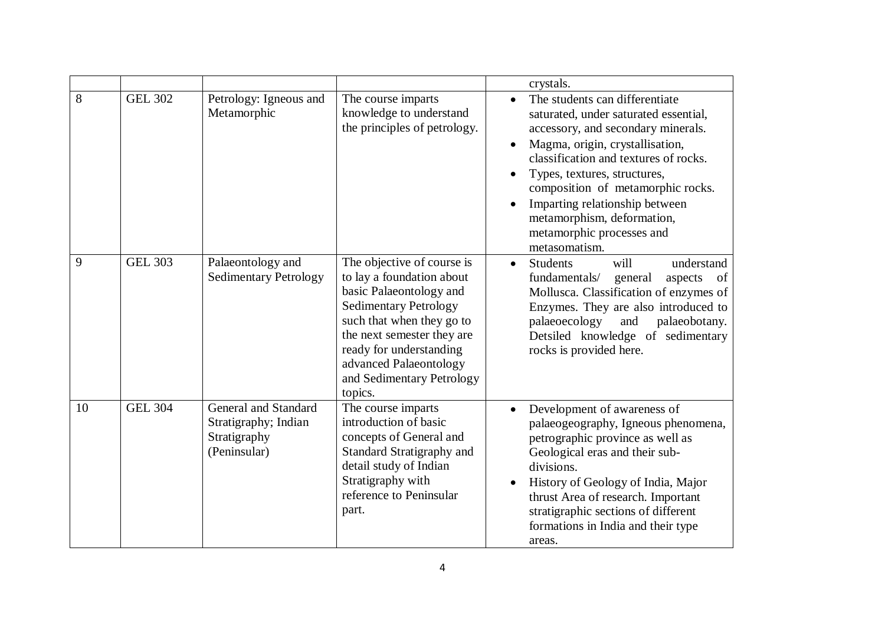|    |                |                                                                              |                                                                                                                                                                                                                                                                            | crystals.                                                                                                                                                                                                                                                                                                                                                                    |
|----|----------------|------------------------------------------------------------------------------|----------------------------------------------------------------------------------------------------------------------------------------------------------------------------------------------------------------------------------------------------------------------------|------------------------------------------------------------------------------------------------------------------------------------------------------------------------------------------------------------------------------------------------------------------------------------------------------------------------------------------------------------------------------|
| 8  | <b>GEL 302</b> | Petrology: Igneous and<br>Metamorphic                                        | The course imparts<br>knowledge to understand<br>the principles of petrology.                                                                                                                                                                                              | The students can differentiate<br>saturated, under saturated essential,<br>accessory, and secondary minerals.<br>Magma, origin, crystallisation,<br>classification and textures of rocks.<br>Types, textures, structures,<br>composition of metamorphic rocks.<br>Imparting relationship between<br>metamorphism, deformation,<br>metamorphic processes and<br>metasomatism. |
| 9  | <b>GEL 303</b> | Palaeontology and<br><b>Sedimentary Petrology</b>                            | The objective of course is<br>to lay a foundation about<br>basic Palaeontology and<br><b>Sedimentary Petrology</b><br>such that when they go to<br>the next semester they are<br>ready for understanding<br>advanced Palaeontology<br>and Sedimentary Petrology<br>topics. | <b>Students</b><br>will<br>understand<br>$\bullet$<br>fundamentals/<br>general<br>aspects<br>of<br>Mollusca. Classification of enzymes of<br>Enzymes. They are also introduced to<br>palaeoecology<br>and<br>palaeobotany.<br>Detsiled knowledge of sedimentary<br>rocks is provided here.                                                                                   |
| 10 | <b>GEL 304</b> | General and Standard<br>Stratigraphy; Indian<br>Stratigraphy<br>(Peninsular) | The course imparts<br>introduction of basic<br>concepts of General and<br>Standard Stratigraphy and<br>detail study of Indian<br>Stratigraphy with<br>reference to Peninsular<br>part.                                                                                     | Development of awareness of<br>palaeogeography, Igneous phenomena,<br>petrographic province as well as<br>Geological eras and their sub-<br>divisions.<br>History of Geology of India, Major<br>thrust Area of research. Important<br>stratigraphic sections of different<br>formations in India and their type<br>areas.                                                    |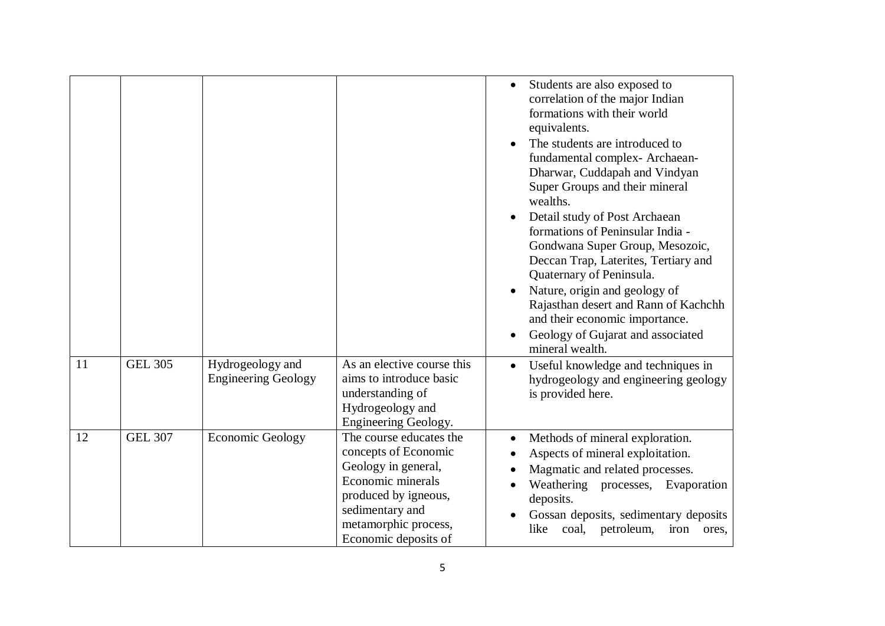|    |                |                                                |                                                                                                                                                                                        | Students are also exposed to<br>$\bullet$<br>correlation of the major Indian<br>formations with their world<br>equivalents.<br>The students are introduced to<br>fundamental complex-Archaean-<br>Dharwar, Cuddapah and Vindyan<br>Super Groups and their mineral<br>wealths.<br>Detail study of Post Archaean<br>formations of Peninsular India -<br>Gondwana Super Group, Mesozoic,<br>Deccan Trap, Laterites, Tertiary and<br>Quaternary of Peninsula.<br>Nature, origin and geology of<br>$\bullet$<br>Rajasthan desert and Rann of Kachchh<br>and their economic importance.<br>Geology of Gujarat and associated<br>$\bullet$<br>mineral wealth. |
|----|----------------|------------------------------------------------|----------------------------------------------------------------------------------------------------------------------------------------------------------------------------------------|--------------------------------------------------------------------------------------------------------------------------------------------------------------------------------------------------------------------------------------------------------------------------------------------------------------------------------------------------------------------------------------------------------------------------------------------------------------------------------------------------------------------------------------------------------------------------------------------------------------------------------------------------------|
| 11 | <b>GEL 305</b> | Hydrogeology and<br><b>Engineering Geology</b> | As an elective course this<br>aims to introduce basic<br>understanding of<br>Hydrogeology and<br>Engineering Geology.                                                                  | Useful knowledge and techniques in<br>$\bullet$<br>hydrogeology and engineering geology<br>is provided here.                                                                                                                                                                                                                                                                                                                                                                                                                                                                                                                                           |
| 12 | <b>GEL 307</b> | <b>Economic Geology</b>                        | The course educates the<br>concepts of Economic<br>Geology in general,<br>Economic minerals<br>produced by igneous,<br>sedimentary and<br>metamorphic process,<br>Economic deposits of | Methods of mineral exploration.<br>$\bullet$<br>Aspects of mineral exploitation.<br>Magmatic and related processes.<br>Weathering processes, Evaporation<br>deposits.<br>Gossan deposits, sedimentary deposits<br>like<br>coal,<br>petroleum,<br>iron<br>ores,                                                                                                                                                                                                                                                                                                                                                                                         |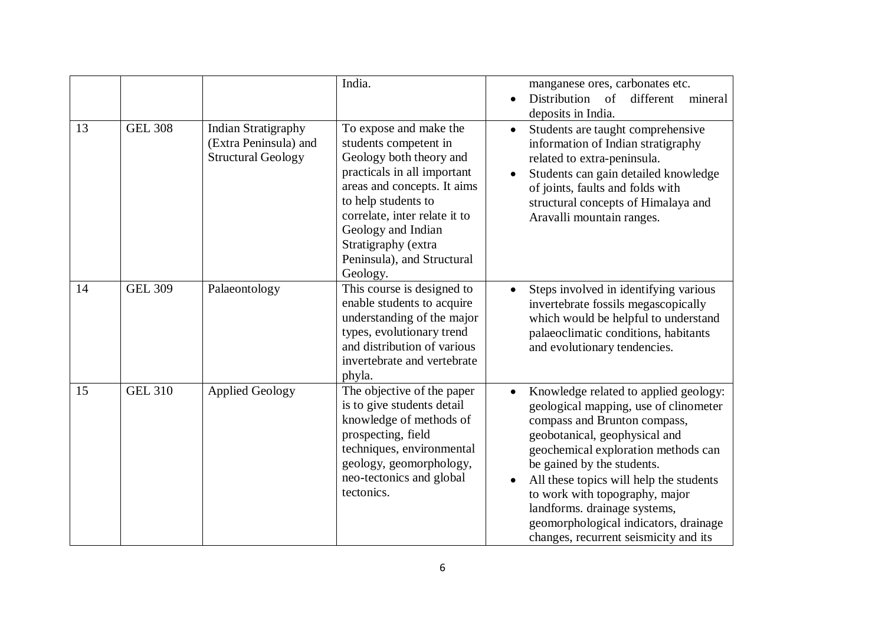|    |                      |                                                                                  | India.                                                                                                                                                                                                                                                                                  | manganese ores, carbonates etc.<br>Distribution of<br>different<br>mineral<br>deposits in India.                                                                                                                                                                                                                                                                                                                                 |
|----|----------------------|----------------------------------------------------------------------------------|-----------------------------------------------------------------------------------------------------------------------------------------------------------------------------------------------------------------------------------------------------------------------------------------|----------------------------------------------------------------------------------------------------------------------------------------------------------------------------------------------------------------------------------------------------------------------------------------------------------------------------------------------------------------------------------------------------------------------------------|
| 13 | <b>GEL 308</b>       | <b>Indian Stratigraphy</b><br>(Extra Peninsula) and<br><b>Structural Geology</b> | To expose and make the<br>students competent in<br>Geology both theory and<br>practicals in all important<br>areas and concepts. It aims<br>to help students to<br>correlate, inter relate it to<br>Geology and Indian<br>Stratigraphy (extra<br>Peninsula), and Structural<br>Geology. | Students are taught comprehensive<br>$\bullet$<br>information of Indian stratigraphy<br>related to extra-peninsula.<br>Students can gain detailed knowledge<br>of joints, faults and folds with<br>structural concepts of Himalaya and<br>Aravalli mountain ranges.                                                                                                                                                              |
| 14 | GEL $3\overline{09}$ | Palaeontology                                                                    | This course is designed to<br>enable students to acquire<br>understanding of the major<br>types, evolutionary trend<br>and distribution of various<br>invertebrate and vertebrate<br>phyla.                                                                                             | Steps involved in identifying various<br>invertebrate fossils megascopically<br>which would be helpful to understand<br>palaeoclimatic conditions, habitants<br>and evolutionary tendencies.                                                                                                                                                                                                                                     |
| 15 | <b>GEL 310</b>       | <b>Applied Geology</b>                                                           | The objective of the paper<br>is to give students detail<br>knowledge of methods of<br>prospecting, field<br>techniques, environmental<br>geology, geomorphology,<br>neo-tectonics and global<br>tectonics.                                                                             | Knowledge related to applied geology:<br>geological mapping, use of clinometer<br>compass and Brunton compass,<br>geobotanical, geophysical and<br>geochemical exploration methods can<br>be gained by the students.<br>All these topics will help the students<br>$\bullet$<br>to work with topography, major<br>landforms. drainage systems,<br>geomorphological indicators, drainage<br>changes, recurrent seismicity and its |